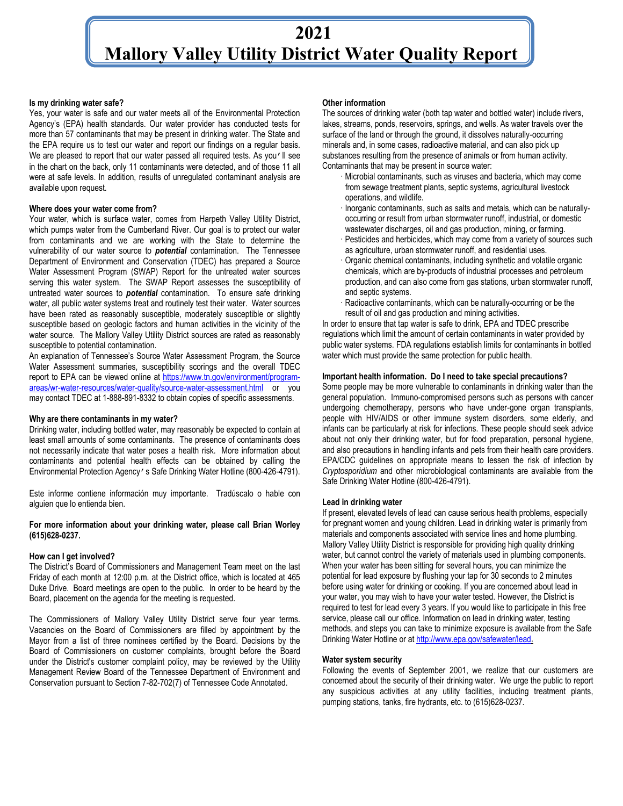## **2021 Mallory Valley Utility District Water Quality Report**

#### **Is my drinking water safe?**

Yes, your water is safe and our water meets all of the Environmental Protection Agency's (EPA) health standards. Our water provider has conducted tests for more than 57 contaminants that may be present in drinking water. The State and the EPA require us to test our water and report our findings on a regular basis. We are pleased to report that our water passed all required tests. As you'll see in the chart on the back, only 11 contaminants were detected, and of those 11 all were at safe levels. In addition, results of unregulated contaminant analysis are available upon request.

#### **Where does your water come from?**

Your water, which is surface water, comes from Harpeth Valley Utility District, which pumps water from the Cumberland River. Our goal is to protect our water from contaminants and we are working with the State to determine the vulnerability of our water source to *potential* contamination. The Tennessee Department of Environment and Conservation (TDEC) has prepared a Source Water Assessment Program (SWAP) Report for the untreated water sources serving this water system. The SWAP Report assesses the susceptibility of untreated water sources to *potential* contamination. To ensure safe drinking water, all public water systems treat and routinely test their water. Water sources have been rated as reasonably susceptible, moderately susceptible or slightly susceptible based on geologic factors and human activities in the vicinity of the water source. The Mallory Valley Utility District sources are rated as reasonably susceptible to potential contamination.

An explanation of Tennessee's Source Water Assessment Program, the Source Water Assessment summaries, susceptibility scorings and the overall TDEC report to EPA can be viewed online at [https://www.tn.gov/environment/program](https://www.tn.gov/environment/program-areas/wr-water-resources/water-quality/source-water-assessment.html)[areas/wr-water-resources/water-quality/source-water-assessment.html](https://www.tn.gov/environment/program-areas/wr-water-resources/water-quality/source-water-assessment.html) or you may contact TDEC at 1-888-891-8332 to obtain copies of specific assessments.

## **Why are there contaminants in my water?**

Drinking water, including bottled water, may reasonably be expected to contain at least small amounts of some contaminants. The presence of contaminants does not necessarily indicate that water poses a health risk. More information about contaminants and potential health effects can be obtained by calling the Environmental Protection Agency's Safe Drinking Water Hotline (800-426-4791).

Este informe contiene información muy importante. Tradúscalo o hable con alguien que lo entienda bien.

## **For more information about your drinking water, please call Brian Worley (615)628-0237.**

#### **How can I get involved?**

The District's Board of Commissioners and Management Team meet on the last Friday of each month at 12:00 p.m. at the District office, which is located at 465 Duke Drive. Board meetings are open to the public. In order to be heard by the Board, placement on the agenda for the meeting is requested.

The Commissioners of Mallory Valley Utility District serve four year terms. Vacancies on the Board of Commissioners are filled by appointment by the Mayor from a list of three nominees certified by the Board. Decisions by the Board of Commissioners on customer complaints, brought before the Board under the District's customer complaint policy, may be reviewed by the Utility Management Review Board of the Tennessee Department of Environment and Conservation pursuant to Section 7-82-702(7) of Tennessee Code Annotated.

#### **Other information**

The sources of drinking water (both tap water and bottled water) include rivers, lakes, streams, ponds, reservoirs, springs, and wells. As water travels over the surface of the land or through the ground, it dissolves naturally-occurring minerals and, in some cases, radioactive material, and can also pick up substances resulting from the presence of animals or from human activity. Contaminants that may be present in source water:

- Microbial contaminants, such as viruses and bacteria, which may come from sewage treatment plants, septic systems, agricultural livestock operations, and wildlife.
- · Inorganic contaminants, such as salts and metals, which can be naturallyoccurring or result from urban stormwater runoff, industrial, or domestic wastewater discharges, oil and gas production, mining, or farming.
- · Pesticides and herbicides, which may come from a variety of sources such as agriculture, urban stormwater runoff, and residential uses.
- · Organic chemical contaminants, including synthetic and volatile organic chemicals, which are by-products of industrial processes and petroleum production, and can also come from gas stations, urban stormwater runoff, and septic systems.
- Radioactive contaminants, which can be naturally-occurring or be the result of oil and gas production and mining activities.

In order to ensure that tap water is safe to drink, EPA and TDEC prescribe regulations which limit the amount of certain contaminants in water provided by public water systems. FDA regulations establish limits for contaminants in bottled water which must provide the same protection for public health.

#### **Important health information. Do I need to take special precautions?**

Some people may be more vulnerable to contaminants in drinking water than the general population. Immuno-compromised persons such as persons with cancer undergoing chemotherapy, persons who have under-gone organ transplants, people with HIV/AIDS or other immune system disorders, some elderly, and infants can be particularly at risk for infections. These people should seek advice about not only their drinking water, but for food preparation, personal hygiene, and also precautions in handling infants and pets from their health care providers. EPA/CDC guidelines on appropriate means to lessen the risk of infection by *Cryptosporidium* and other microbiological contaminants are available from the Safe Drinking Water Hotline (800-426-4791).

### **Lead in drinking water**

If present, elevated levels of lead can cause serious health problems, especially for pregnant women and young children. Lead in drinking water is primarily from materials and components associated with service lines and home plumbing. Mallory Valley Utility District is responsible for providing high quality drinking water, but cannot control the variety of materials used in plumbing components. When your water has been sitting for several hours, you can minimize the potential for lead exposure by flushing your tap for 30 seconds to 2 minutes before using water for drinking or cooking. If you are concerned about lead in your water, you may wish to have your water tested. However, the District is required to test for lead every 3 years. If you would like to participate in this free service, please call our office. Information on lead in drinking water, testing methods, and steps you can take to minimize exposure is available from the Safe Drinking Water Hotline or a[t http://www.epa.gov/safewater/lead.](http://www.epa.gov/safewater/lead)

#### **Water system security**

Following the events of September 2001, we realize that our customers are concerned about the security of their drinking water. We urge the public to report any suspicious activities at any utility facilities, including treatment plants, pumping stations, tanks, fire hydrants, etc. to (615)628-0237.